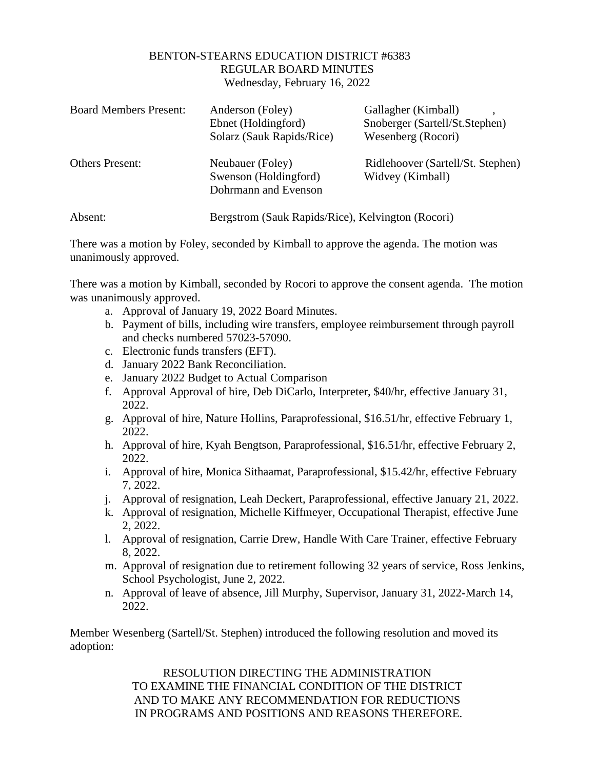## BENTON-STEARNS EDUCATION DISTRICT #6383 REGULAR BOARD MINUTES Wednesday, February 16, 2022

| <b>Board Members Present:</b> | Anderson (Foley)<br>Ebnet (Holdingford)<br>Solarz (Sauk Rapids/Rice) | Gallagher (Kimball)<br>Snoberger (Sartell/St.Stephen)<br>Wesenberg (Rocori) |
|-------------------------------|----------------------------------------------------------------------|-----------------------------------------------------------------------------|
| <b>Others Present:</b>        | Neubauer (Foley)<br>Swenson (Holdingford)<br>Dohrmann and Evenson    | Ridlehoover (Sartell/St. Stephen)<br>Widvey (Kimball)                       |
| Absent:                       | Bergstrom (Sauk Rapids/Rice), Kelvington (Rocori)                    |                                                                             |

There was a motion by Foley, seconded by Kimball to approve the agenda. The motion was unanimously approved.

There was a motion by Kimball, seconded by Rocori to approve the consent agenda. The motion was unanimously approved.

- a. Approval of January 19, 2022 Board Minutes.
- b. Payment of bills, including wire transfers, employee reimbursement through payroll and checks numbered 57023-57090.
- c. Electronic funds transfers (EFT).
- d. January 2022 Bank Reconciliation.
- e. January 2022 Budget to Actual Comparison
- f. Approval Approval of hire, Deb DiCarlo, Interpreter, \$40/hr, effective January 31, 2022.
- g. Approval of hire, Nature Hollins, Paraprofessional, \$16.51/hr, effective February 1, 2022.
- h. Approval of hire, Kyah Bengtson, Paraprofessional, \$16.51/hr, effective February 2, 2022.
- i. Approval of hire, Monica Sithaamat, Paraprofessional, \$15.42/hr, effective February 7, 2022.
- j. Approval of resignation, Leah Deckert, Paraprofessional, effective January 21, 2022.
- k. Approval of resignation, Michelle Kiffmeyer, Occupational Therapist, effective June 2, 2022.
- l. Approval of resignation, Carrie Drew, Handle With Care Trainer, effective February 8, 2022.
- m. Approval of resignation due to retirement following 32 years of service, Ross Jenkins, School Psychologist, June 2, 2022.
- n. Approval of leave of absence, Jill Murphy, Supervisor, January 31, 2022-March 14, 2022.

Member Wesenberg (Sartell/St. Stephen) introduced the following resolution and moved its adoption:

> RESOLUTION DIRECTING THE ADMINISTRATION TO EXAMINE THE FINANCIAL CONDITION OF THE DISTRICT AND TO MAKE ANY RECOMMENDATION FOR REDUCTIONS IN PROGRAMS AND POSITIONS AND REASONS THEREFORE.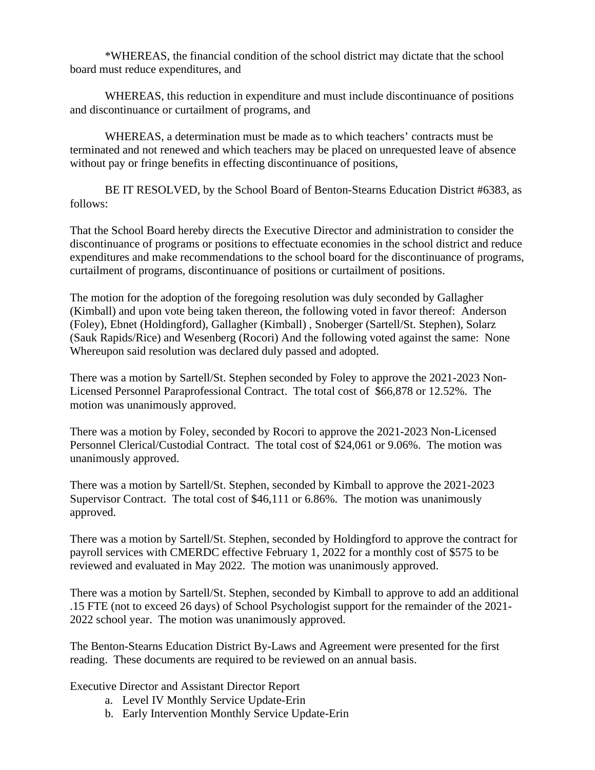\*WHEREAS, the financial condition of the school district may dictate that the school board must reduce expenditures, and

WHEREAS, this reduction in expenditure and must include discontinuance of positions and discontinuance or curtailment of programs, and

WHEREAS, a determination must be made as to which teachers' contracts must be terminated and not renewed and which teachers may be placed on unrequested leave of absence without pay or fringe benefits in effecting discontinuance of positions,

BE IT RESOLVED, by the School Board of Benton-Stearns Education District #6383, as follows:

That the School Board hereby directs the Executive Director and administration to consider the discontinuance of programs or positions to effectuate economies in the school district and reduce expenditures and make recommendations to the school board for the discontinuance of programs, curtailment of programs, discontinuance of positions or curtailment of positions.

The motion for the adoption of the foregoing resolution was duly seconded by Gallagher (Kimball) and upon vote being taken thereon, the following voted in favor thereof: Anderson (Foley), Ebnet (Holdingford), Gallagher (Kimball) , Snoberger (Sartell/St. Stephen), Solarz (Sauk Rapids/Rice) and Wesenberg (Rocori) And the following voted against the same: None Whereupon said resolution was declared duly passed and adopted.

There was a motion by Sartell/St. Stephen seconded by Foley to approve the 2021-2023 Non-Licensed Personnel Paraprofessional Contract. The total cost of \$66,878 or 12.52%. The motion was unanimously approved.

There was a motion by Foley, seconded by Rocori to approve the 2021-2023 Non-Licensed Personnel Clerical/Custodial Contract. The total cost of \$24,061 or 9.06%. The motion was unanimously approved.

There was a motion by Sartell/St. Stephen, seconded by Kimball to approve the 2021-2023 Supervisor Contract. The total cost of \$46,111 or 6.86%. The motion was unanimously approved.

There was a motion by Sartell/St. Stephen, seconded by Holdingford to approve the contract for payroll services with CMERDC effective February 1, 2022 for a monthly cost of \$575 to be reviewed and evaluated in May 2022. The motion was unanimously approved.

There was a motion by Sartell/St. Stephen, seconded by Kimball to approve to add an additional .15 FTE (not to exceed 26 days) of School Psychologist support for the remainder of the 2021- 2022 school year. The motion was unanimously approved.

The Benton-Stearns Education District By-Laws and Agreement were presented for the first reading. These documents are required to be reviewed on an annual basis.

Executive Director and Assistant Director Report

- a. Level IV Monthly Service Update-Erin
- b. Early Intervention Monthly Service Update-Erin